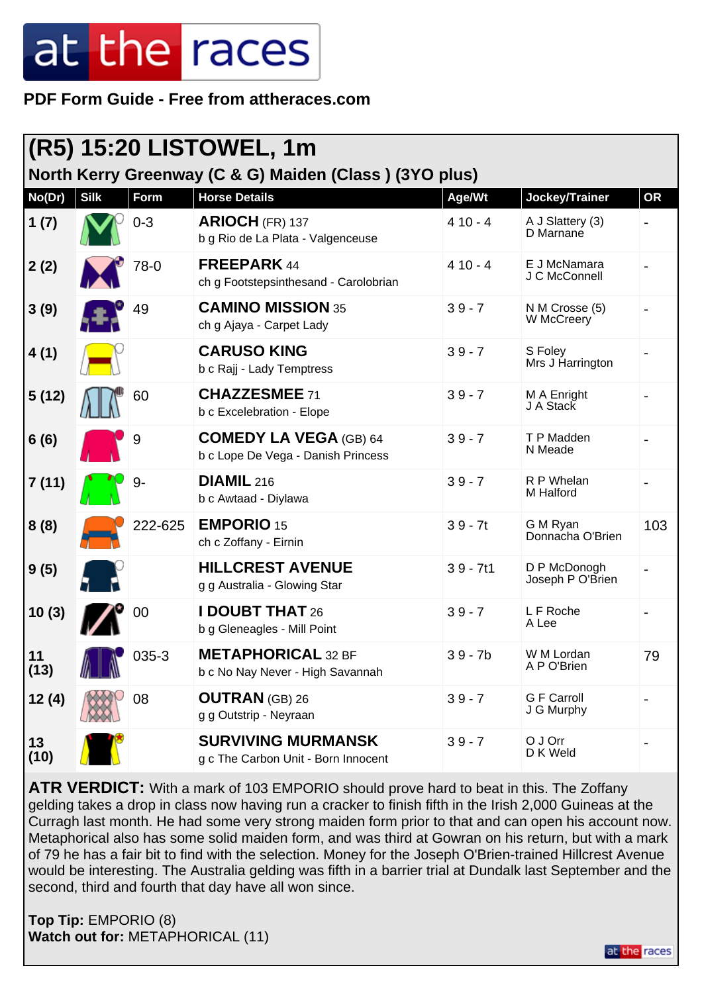## at the races

**PDF Form Guide - Free from attheraces.com**

| (R5) 15:20 LISTOWEL, 1m                                |             |           |                                                                     |            |                                  |           |
|--------------------------------------------------------|-------------|-----------|---------------------------------------------------------------------|------------|----------------------------------|-----------|
| North Kerry Greenway (C & G) Maiden (Class) (3YO plus) |             |           |                                                                     |            |                                  |           |
| No(Dr)                                                 | <b>Silk</b> | Form      | <b>Horse Details</b>                                                | Age/Wt     | Jockey/Trainer                   | <b>OR</b> |
| 1(7)                                                   |             | $0 - 3$   | ARIOCH (FR) 137<br>b g Rio de La Plata - Valgenceuse                | $410 - 4$  | A J Slattery (3)<br>D Marnane    |           |
| 2(2)                                                   |             | 78-0      | <b>FREEPARK 44</b><br>ch g Footstepsinthesand - Carolobrian         | $410 - 4$  | E J McNamara<br>J C McConnell    |           |
| 3(9)                                                   |             | 49        | <b>CAMINO MISSION 35</b><br>ch g Ajaya - Carpet Lady                | $39 - 7$   | N M Crosse (5)<br>W McCreery     |           |
| 4(1)                                                   |             |           | <b>CARUSO KING</b><br>b c Rajj - Lady Temptress                     | $39 - 7$   | S Foley<br>Mrs J Harrington      |           |
| 5(12)                                                  |             | 60        | <b>CHAZZESMEE 71</b><br>b c Excelebration - Elope                   | $39 - 7$   | M A Enright<br>J A Stack         |           |
| 6(6)                                                   |             | 9         | <b>COMEDY LA VEGA (GB) 64</b><br>b c Lope De Vega - Danish Princess | $39 - 7$   | T P Madden<br>N Meade            |           |
| 7(11)                                                  |             | 9-        | <b>DIAMIL</b> 216<br>b c Awtaad - Diylawa                           | $39 - 7$   | R P Whelan<br>M Halford          |           |
| 8(8)                                                   |             | 222-625   | <b>EMPORIO 15</b><br>ch c Zoffany - Eirnin                          | $39 - 7t$  | G M Ryan<br>Donnacha O'Brien     | 103       |
| 9(5)                                                   |             |           | <b>HILLCREST AVENUE</b><br>g g Australia - Glowing Star             | $39 - 7t1$ | D P McDonogh<br>Joseph P O'Brien |           |
| 10(3)                                                  |             | 00        | <b>I DOUBT THAT 26</b><br>b g Gleneagles - Mill Point               | $39 - 7$   | L F Roche<br>A Lee               |           |
| 11<br>(13)                                             |             | $035 - 3$ | <b>METAPHORICAL 32 BF</b><br>b c No Nay Never - High Savannah       | $39 - 7b$  | W M Lordan<br>A P O'Brien        | 79        |
| 12(4)                                                  |             | 08        | <b>OUTRAN</b> (GB) 26<br>g g Outstrip - Neyraan                     | $39 - 7$   | <b>G F Carroll</b><br>J G Murphy |           |
| 13<br>(10)                                             |             |           | <b>SURVIVING MURMANSK</b><br>g c The Carbon Unit - Born Innocent    | $39 - 7$   | O J Orr<br>D K Weld              |           |

**ATR VERDICT:** With a mark of 103 EMPORIO should prove hard to beat in this. The Zoffany gelding takes a drop in class now having run a cracker to finish fifth in the Irish 2,000 Guineas at the Curragh last month. He had some very strong maiden form prior to that and can open his account now. Metaphorical also has some solid maiden form, and was third at Gowran on his return, but with a mark of 79 he has a fair bit to find with the selection. Money for the Joseph O'Brien-trained Hillcrest Avenue would be interesting. The Australia gelding was fifth in a barrier trial at Dundalk last September and the second, third and fourth that day have all won since.

**Top Tip:** EMPORIO (8) **Watch out for:** METAPHORICAL (11)

at the races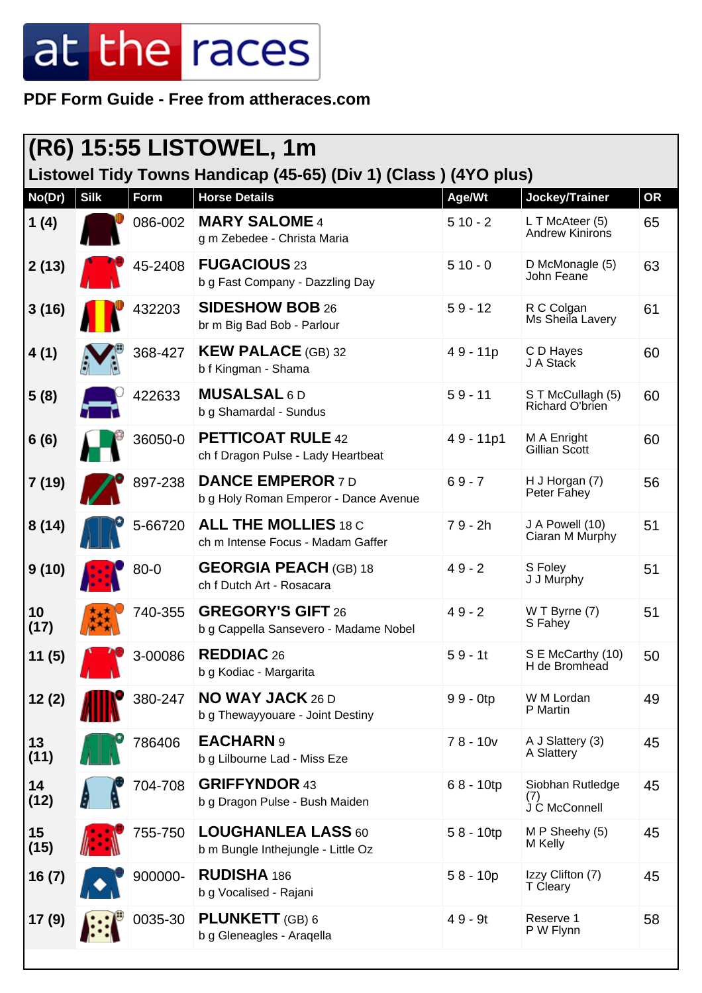## at the races

**PDF Form Guide - Free from attheraces.com**

| (R6) 15:55 LISTOWEL, 1m<br>Listowel Tidy Towns Handicap (45-65) (Div 1) (Class) (4YO plus) |            |          |                                                                   |              |                                          |    |
|--------------------------------------------------------------------------------------------|------------|----------|-------------------------------------------------------------------|--------------|------------------------------------------|----|
| No(Dr)                                                                                     | $ \sin k $ | Form     | <b>Horse Details</b>                                              | Age/Wt       | Jockey/Trainer                           | OR |
| 1(4)                                                                                       |            | 086-002  | <b>MARY SALOME 4</b><br>g m Zebedee - Christa Maria               | $510 - 2$    | L T McAteer (5)<br>Andrew Kinirons       | 65 |
| 2(13)                                                                                      |            | 45-2408  | <b>FUGACIOUS 23</b><br>b g Fast Company - Dazzling Day            | $510 - 0$    | D McMonagle (5)<br>John Feane            | 63 |
| 3(16)                                                                                      |            | 432203   | <b>SIDESHOW BOB 26</b><br>br m Big Bad Bob - Parlour              | $59 - 12$    | R C Colgan<br>Ms Sheila Lavery           | 61 |
| 4(1)                                                                                       |            | 368-427  | <b>KEW PALACE (GB) 32</b><br>b f Kingman - Shama                  | $49 - 11p$   | C D Hayes<br>J A Stack                   | 60 |
| 5(8)                                                                                       |            | 422633   | <b>MUSALSAL 6D</b><br>b g Shamardal - Sundus                      | $59 - 11$    | S T McCullagh (5)<br>Richard O'brien     | 60 |
| 6(6)                                                                                       |            | 36050-0  | <b>PETTICOAT RULE 42</b><br>ch f Dragon Pulse - Lady Heartbeat    | 49 - 11p1    | M A Enright<br>Gillian Scott             | 60 |
| 7(19)                                                                                      |            | 897-238  | <b>DANCE EMPEROR 7D</b><br>b g Holy Roman Emperor - Dance Avenue  | $69 - 7$     | H J Horgan (7)<br>Peter Fahey            | 56 |
| 8(14)                                                                                      |            | 5-66720  | <b>ALL THE MOLLIES 18 C</b><br>ch m Intense Focus - Madam Gaffer  | $79 - 2h$    | J A Powell (10)<br>Ciaran M Murphy       | 51 |
| 9(10)                                                                                      |            | $80 - 0$ | <b>GEORGIA PEACH (GB) 18</b><br>ch f Dutch Art - Rosacara         | $49 - 2$     | S Foley<br>J J Murphy                    | 51 |
| 10<br>(17)                                                                                 |            | 740-355  | <b>GREGORY'S GIFT 26</b><br>b g Cappella Sansevero - Madame Nobel | $49 - 2$     | $W T B$ yrne $(7)$<br>S Fahey            | 51 |
| 11(5)                                                                                      |            | 3-00086  | <b>REDDIAC 26</b><br>b g Kodiac - Margarita                       | $59 - 1t$    | S E McCarthy (10)<br>H de Bromhead       | 50 |
| 12(2)                                                                                      |            | 380-247  | <b>NO WAY JACK 26 D</b><br>b g Thewayyouare - Joint Destiny       | $99 - 0$ tp  | W M Lordan<br>P Martin                   | 49 |
| 13<br>(11)                                                                                 |            | 786406   | <b>EACHARN 9</b><br>b g Lilbourne Lad - Miss Eze                  | $78 - 10v$   | A J Slattery (3)<br>A Slattery           | 45 |
| 14<br>(12)                                                                                 |            | 704-708  | <b>GRIFFYNDOR 43</b><br>b g Dragon Pulse - Bush Maiden            | 68 - 10tp    | Siobhan Rutledge<br>(1)<br>J C McConnell | 45 |
| 15<br>(15)                                                                                 |            | 755-750  | <b>LOUGHANLEA LASS 60</b><br>b m Bungle Inthejungle - Little Oz   | $58 - 10$ tp | M P Sheehy (5)<br>M Kelly                | 45 |
| 16(7)                                                                                      |            | 900000-  | RUDISHA 186<br>b g Vocalised - Rajani                             | $58 - 10p$   | Izzy Clifton (7)<br>T Cleary             | 45 |
| 17(9)                                                                                      |            | 0035-30  | <b>PLUNKETT</b> (GB) 6<br>b g Gleneagles - Aragella               | $49 - 9t$    | Reserve 1<br>P W Flynn                   | 58 |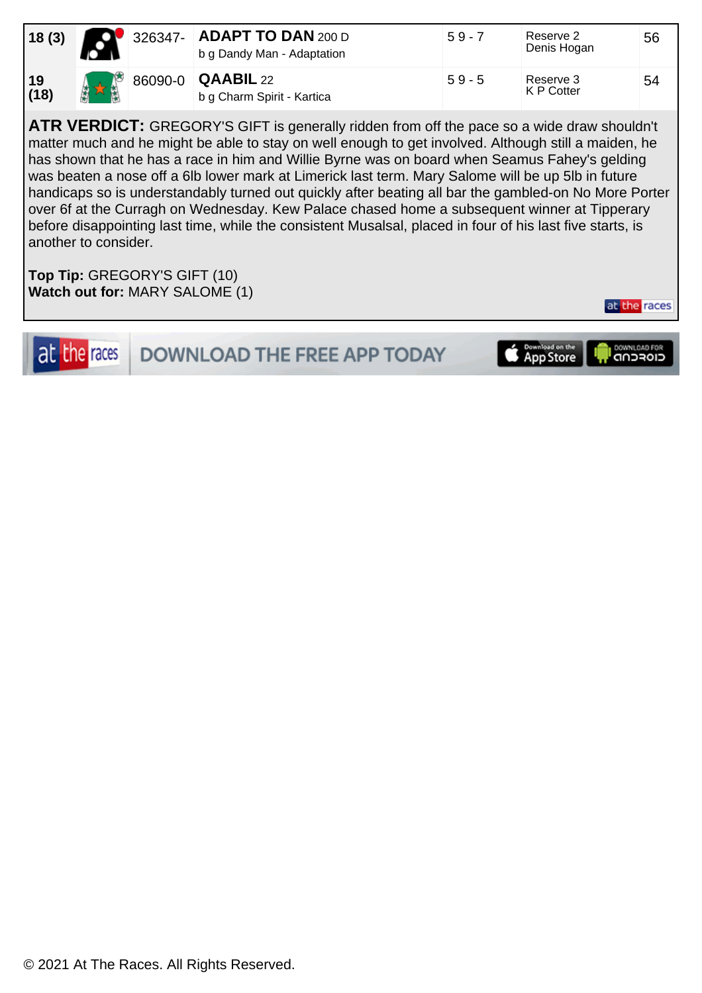| 18(3)             |              | 326347- ADAPT TO DAN 200 D<br>b g Dandy Man - Adaptation | $59 - 7$ | Reserve 2<br>Denis Hogan | 56 |
|-------------------|--------------|----------------------------------------------------------|----------|--------------------------|----|
| $\frac{19}{(18)}$ | $\mathbf{M}$ | 86090-0 <b>QAABIL</b> 22<br>b g Charm Spirit - Kartica   | $59 - 5$ | Reserve 3<br>K P Cotter  | 54 |

**ATR VERDICT:** GREGORY'S GIFT is generally ridden from off the pace so a wide draw shouldn't matter much and he might be able to stay on well enough to get involved. Although still a maiden, he has shown that he has a race in him and Willie Byrne was on board when Seamus Fahey's gelding was beaten a nose off a 6lb lower mark at Limerick last term. Mary Salome will be up 5lb in future handicaps so is understandably turned out quickly after beating all bar the gambled-on No More Porter over 6f at the Curragh on Wednesday. Kew Palace chased home a subsequent winner at Tipperary before disappointing last time, while the consistent Musalsal, placed in four of his last five starts, is another to consider.

**Top Tip:** GREGORY'S GIFT (10) **Watch out for:** MARY SALOME (1)

at the races

**DOWNLOAD THE FREE APP TODAY** 



at the races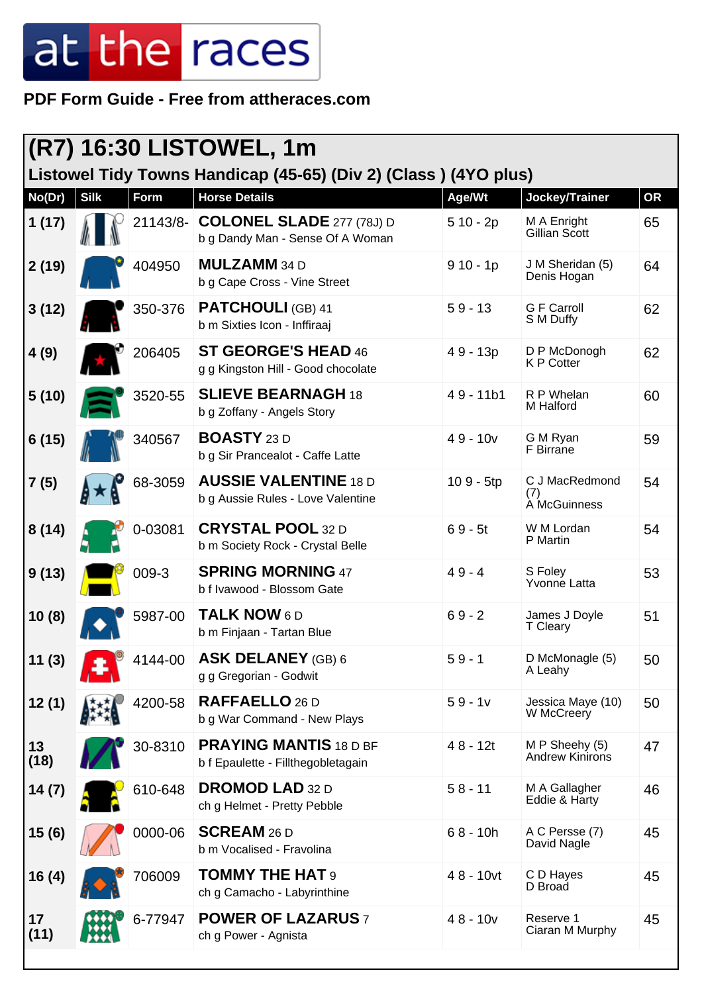## at the races

**PDF Form Guide - Free from attheraces.com**

| <b>(R7) 16:30 LISTOWEL, 1m</b>                                  |             |          |                                                                      |              |                                          |           |  |
|-----------------------------------------------------------------|-------------|----------|----------------------------------------------------------------------|--------------|------------------------------------------|-----------|--|
| Listowel Tidy Towns Handicap (45-65) (Div 2) (Class) (4YO plus) |             |          |                                                                      |              |                                          |           |  |
| No(Dr)                                                          | <b>Silk</b> | Form     | <b>Horse Details</b>                                                 | Age/Wt       | Jockey/Trainer                           | <b>OR</b> |  |
| 1(17)                                                           |             | 21143/8- | <b>COLONEL SLADE 277 (78J) D</b><br>b g Dandy Man - Sense Of A Woman | $510 - 2p$   | M A Enright<br>Gillian Scott             | 65        |  |
| 2(19)                                                           |             | 404950   | <b>MULZAMM</b> 34 D<br>b g Cape Cross - Vine Street                  | $910 - 1p$   | J M Sheridan (5)<br>Denis Hogan          | 64        |  |
| 3(12)                                                           |             | 350-376  | <b>PATCHOULI (GB) 41</b><br>b m Sixties Icon - Inffiraaj             | $59 - 13$    | <b>G F Carroll</b><br>S M Duffy          | 62        |  |
| 4(9)                                                            |             | 206405   | ST GEORGE'S HEAD 46<br>g g Kingston Hill - Good chocolate            | 49 - 13p     | D P McDonogh<br><b>K P Cotter</b>        | 62        |  |
| 5(10)                                                           |             | 3520-55  | <b>SLIEVE BEARNAGH 18</b><br>b g Zoffany - Angels Story              | $49 - 11b1$  | R P Whelan<br>M Halford                  | 60        |  |
| 6(15)                                                           |             | 340567   | <b>BOASTY</b> 23 D<br>b g Sir Prancealot - Caffe Latte               | $49 - 10v$   | G M Ryan<br>F Birrane                    | 59        |  |
| 7(5)                                                            |             | 68-3059  | <b>AUSSIE VALENTINE 18 D</b><br>b g Aussie Rules - Love Valentine    | 109 - 5tp    | C J MacRedmond<br>(7)<br>À McGuinness    | 54        |  |
| 8(14)                                                           |             | 0-03081  | <b>CRYSTAL POOL 32 D</b><br>b m Society Rock - Crystal Belle         | $69 - 5t$    | W M Lordan<br>P Martin                   | 54        |  |
| 9(13)                                                           |             | 009-3    | <b>SPRING MORNING 47</b><br>b f Ivawood - Blossom Gate               | $49 - 4$     | S Foley<br>Yvonne Latta                  | 53        |  |
| 10(8)                                                           |             | 5987-00  | <b>TALK NOW 6D</b><br>b m Finjaan - Tartan Blue                      | $69 - 2$     | James J Doyle<br>T Cleary                | 51        |  |
| 11(3)                                                           |             | 4144-00  | <b>ASK DELANEY (GB) 6</b><br>g g Gregorian - Godwit                  | $59 - 1$     | D McMonagle (5)<br>A Leahy               | 50        |  |
| 12(1)                                                           |             | 4200-58  | RAFFAELLO 26 D<br>b g War Command - New Plays                        | $59 - 1v$    | Jessica Maye (10)<br>W McCreery          | 50        |  |
| 13<br>(18)                                                      |             | 30-8310  | <b>PRAYING MANTIS 18 D BF</b><br>b f Epaulette - Fillthegobletagain  | $48 - 12t$   | M P Sheehy (5)<br><b>Andrew Kinirons</b> | 47        |  |
| 14(7)                                                           |             | 610-648  | <b>DROMOD LAD 32 D</b><br>ch g Helmet - Pretty Pebble                | $58 - 11$    | M A Gallagher<br>Eddie & Harty           | 46        |  |
| 15 (6)                                                          |             | 0000-06  | <b>SCREAM</b> 26 D<br>b m Vocalised - Fravolina                      | $68 - 10h$   | A C Persse (7)<br>David Nagle            | 45        |  |
| 16(4)                                                           |             | 706009   | <b>TOMMY THE HAT 9</b><br>ch g Camacho - Labyrinthine                | $48 - 10$ vt | C D Hayes<br>D Broad                     | 45        |  |
| 17<br>(11)                                                      |             | 6-77947  | <b>POWER OF LAZARUS 7</b><br>ch g Power - Agnista                    | $48 - 10v$   | Reserve 1<br>Ciaran M Murphy             | 45        |  |